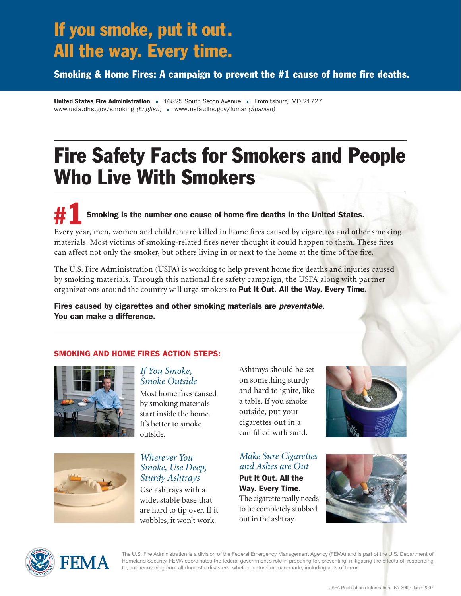## If you smoke, put it out. All the way. Every time.

Smoking & Home Fires: A campaign to prevent the #1 cause of home fire deaths.

United States Fire Administration = 16825 South Seton Avenue = Emmitsburg, MD 21727 www.usfa.dhs.gov/smoking *(English)* www.usfa.dhs.gov/fumar *(Spanish)*

# Fire Safety Facts for Smokers and People Who Live With Smokers

Smoking is the number one cause of home fire deaths in the United States. Every year, men, women and children are killed in home fires caused by cigarettes and other smoking materials. Most victims of smoking-related fires never thought it could happen to them. These fires can affect not only the smoker, but others living in or next to the home at the time of the fire. #1

The U.S. Fire Administration (USFA) is working to help prevent home fire deaths and injuries caused by smoking materials. Through this national fire safety campaign, the USFA along with partner organizations around the country will urge smokers to Put It Out. All the Way. Every Time.

Fires caused by cigarettes and other smoking materials are *preventable*. You can make a difference.

### SMOKING AND HOME FIRES ACTION STEPS:





#### *If You Smoke, Smoke Outside*

Most home fires caused by smoking materials start inside the home. It's better to smoke outside.

### *Wherever You Smoke, Use Deep, Sturdy Ashtrays*

Use ashtrays with a wide, stable base that are hard to tip over. If it wobbles, it won't work.

Ashtrays should be set on something sturdy and hard to ignite, like a table. If you smoke outside, put your cigarettes out in a can filled with sand.

## *Make Sure Cigarettes and Ashes are Out*

Put It Out. All the Way. Every Time. The cigarette really needs to be completely stubbed out in the ashtray.







The U.S. Fire Administration is a division of the Federal Emergency Management Agency (FEMA) and is part of the U.S. Department of Homeland Security. FEMA coordinates the federal government's role in preparing for, preventing, mitigating the effects of, responding to, and recovering from all domestic disasters, whether natural or man-made, including acts of terror.